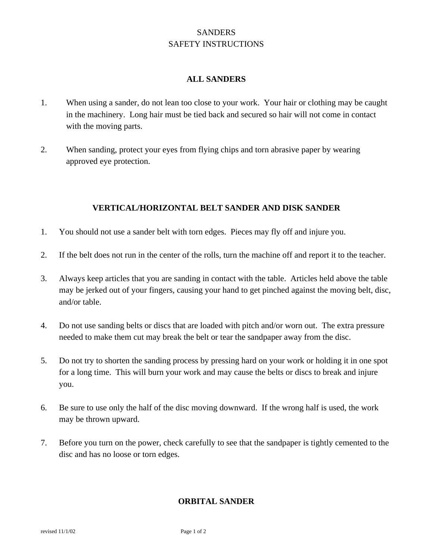# **SANDERS** SAFETY INSTRUCTIONS

#### **ALL SANDERS**

- 1. When using a sander, do not lean too close to your work. Your hair or clothing may be caught in the machinery. Long hair must be tied back and secured so hair will not come in contact with the moving parts.
- 2. When sanding, protect your eyes from flying chips and torn abrasive paper by wearing approved eye protection.

## **VERTICAL/HORIZONTAL BELT SANDER AND DISK SANDER**

- 1. You should not use a sander belt with torn edges. Pieces may fly off and injure you.
- 2. If the belt does not run in the center of the rolls, turn the machine off and report it to the teacher.
- 3. Always keep articles that you are sanding in contact with the table. Articles held above the table may be jerked out of your fingers, causing your hand to get pinched against the moving belt, disc, and/or table.
- 4. Do not use sanding belts or discs that are loaded with pitch and/or worn out. The extra pressure needed to make them cut may break the belt or tear the sandpaper away from the disc.
- 5. Do not try to shorten the sanding process by pressing hard on your work or holding it in one spot for a long time. This will burn your work and may cause the belts or discs to break and injure you.
- 6. Be sure to use only the half of the disc moving downward. If the wrong half is used, the work may be thrown upward.
- 7. Before you turn on the power, check carefully to see that the sandpaper is tightly cemented to the disc and has no loose or torn edges.

## **ORBITAL SANDER**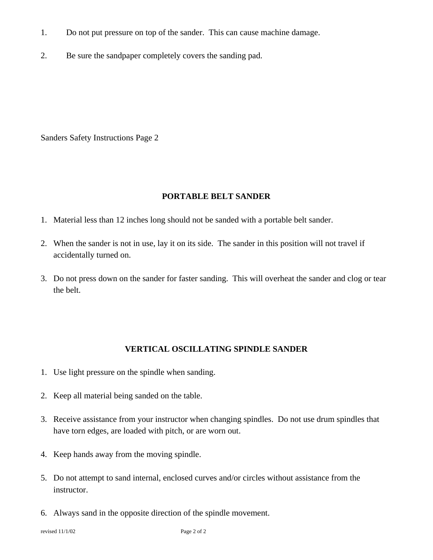- 1. Do not put pressure on top of the sander. This can cause machine damage.
- 2. Be sure the sandpaper completely covers the sanding pad.

Sanders Safety Instructions Page 2

#### **PORTABLE BELT SANDER**

- 1. Material less than 12 inches long should not be sanded with a portable belt sander.
- 2. When the sander is not in use, lay it on its side. The sander in this position will not travel if accidentally turned on.
- 3. Do not press down on the sander for faster sanding. This will overheat the sander and clog or tear the belt.

## **VERTICAL OSCILLATING SPINDLE SANDER**

- 1. Use light pressure on the spindle when sanding.
- 2. Keep all material being sanded on the table.
- 3. Receive assistance from your instructor when changing spindles. Do not use drum spindles that have torn edges, are loaded with pitch, or are worn out.
- 4. Keep hands away from the moving spindle.
- 5. Do not attempt to sand internal, enclosed curves and/or circles without assistance from the instructor.
- 6. Always sand in the opposite direction of the spindle movement.